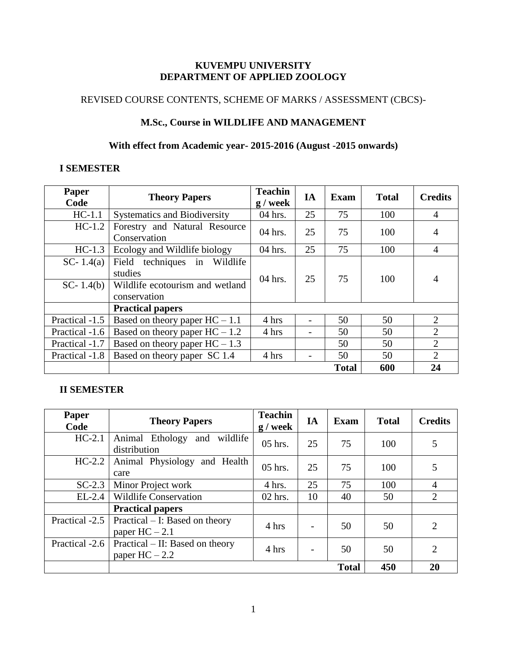# **KUVEMPU UNIVERSITY DEPARTMENT OF APPLIED ZOOLOGY**

# REVISED COURSE CONTENTS, SCHEME OF MARKS / ASSESSMENT (CBCS)-

# **M.Sc., Course in WILDLIFE AND MANAGEMENT**

# **With effect from Academic year- 2015-2016 (August -2015 onwards)**

# **I SEMESTER**

| <b>Paper</b><br>Code     | <b>Theory Papers</b>                                                                       | <b>Teachin</b><br>$g /$ week | IA | <b>Exam</b>  | <b>Total</b> | <b>Credits</b> |
|--------------------------|--------------------------------------------------------------------------------------------|------------------------------|----|--------------|--------------|----------------|
| $HC-1.1$                 | <b>Systematics and Biodiversity</b>                                                        | 04 hrs.                      | 25 | 75           | 100          | $\overline{A}$ |
| $HC-1.2$                 | Forestry and Natural Resource<br>Conservation                                              | 04 hrs.                      | 25 | 75           | 100          | $\overline{4}$ |
| $HC-1.3$                 | Ecology and Wildlife biology                                                               | 04 hrs.                      | 25 | 75           | 100          | $\overline{4}$ |
| SC-1.4(a)<br>$SC-1.4(b)$ | Field techniques in Wildlife<br>studies<br>Wildlife ecotourism and wetland<br>conservation | $04$ hrs.                    | 25 | 75           | 100          | $\overline{4}$ |
|                          | <b>Practical papers</b>                                                                    |                              |    |              |              |                |
| Practical -1.5           | Based on theory paper $HC - 1.1$                                                           | 4 hrs                        |    | 50           | 50           | 2              |
| Practical -1.6           | Based on theory paper $HC - 1.2$                                                           | 4 hrs                        |    | 50           | 50           | 2              |
| Practical -1.7           | Based on theory paper $HC - 1.3$                                                           |                              |    | 50           | 50           | 2              |
| Practical -1.8           | Based on theory paper SC 1.4                                                               | 4 hrs                        |    | 50           | 50           | $\overline{2}$ |
|                          |                                                                                            |                              |    | <b>Total</b> | 600          | 24             |

# **II SEMESTER**

| Paper<br>Code  | <b>Theory Papers</b>                                 | <b>Teachin</b><br>$g /$ week | IA                       | Exam         | <b>Total</b> | <b>Credits</b> |
|----------------|------------------------------------------------------|------------------------------|--------------------------|--------------|--------------|----------------|
| $HC-2.1$       | Animal Ethology<br>wildlife<br>and<br>distribution   | $05$ hrs.                    | 25                       | 75           | 100          | 5              |
| $HC-2.2$       | Animal Physiology and Health<br>care                 | $05$ hrs.                    | 25                       | 75           | 100          | 5              |
| $SC-2.3$       | Minor Project work                                   | 4 hrs.                       | 25                       | 75           | 100          | $\overline{4}$ |
| $EL-2.4$       | <b>Wildlife Conservation</b>                         | $02$ hrs.                    | 10                       | 40           | 50           | $\overline{2}$ |
|                | <b>Practical papers</b>                              |                              |                          |              |              |                |
| Practical -2.5 | $Practical - I: Based on theory$<br>paper $HC - 2.1$ | 4 hrs                        | $\overline{a}$           | 50           | 50           | $\overline{2}$ |
| Practical -2.6 | Practical – II: Based on theory<br>paper $HC - 2.2$  | 4 hrs                        | $\overline{\phantom{a}}$ | 50           | 50           | $\overline{2}$ |
|                |                                                      |                              |                          | <b>Total</b> | 450          | 20             |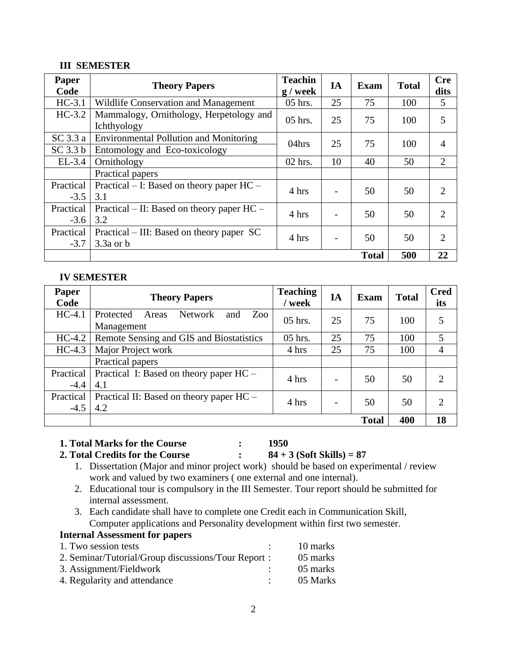# **III SEMESTER**

| Paper<br>Code       | <b>Theory Papers</b>                                   | <b>Teachin</b><br>$g /$ week | IA | <b>Exam</b>  | <b>Total</b> | <b>Cre</b><br>dits          |
|---------------------|--------------------------------------------------------|------------------------------|----|--------------|--------------|-----------------------------|
| $HC-3.1$            | Wildlife Conservation and Management                   | 05 hrs.                      | 25 | 75           | 100          | 5                           |
| $HC-3.2$            | Mammalogy, Ornithology, Herpetology and<br>Ichthyology | $05$ hrs.                    | 25 | 75           | 100          | 5                           |
| SC 3.3 a            | <b>Environmental Pollution and Monitoring</b>          | 04hrs                        | 25 | 75           | 100          | 4                           |
| $SC$ 3.3 $b$        | Entomology and Eco-toxicology                          |                              |    |              |              |                             |
| $EL-3.4$            | Ornithology                                            | $02$ hrs.                    | 10 | 40           | 50           | 2                           |
|                     | Practical papers                                       |                              |    |              |              |                             |
| Practical<br>$-3.5$ | Practical $-$ I: Based on theory paper HC $-$<br>3.1   | 4 hrs                        |    | 50           | 50           | 2                           |
| Practical           | Practical – II: Based on theory paper $HC -$           | 4 hrs                        |    | 50           | 50           | $\mathcal{D}_{\mathcal{L}}$ |
| $-3.6$              | 3.2                                                    |                              |    |              |              |                             |
| Practical           | Practical – III: Based on theory paper SC              | 4 hrs                        |    | 50           | 50           | 2                           |
| $-3.7$              | $3.3a$ or b                                            |                              |    |              |              |                             |
|                     |                                                        |                              |    | <b>Total</b> | 500          | 22                          |

#### **IV SEMESTER**

| Paper<br>Code       | <b>Theory Papers</b>                                             | <b>Teaching</b><br>/ week | IA | <b>Exam</b>  | <b>Total</b> | <b>Cred</b><br>its |
|---------------------|------------------------------------------------------------------|---------------------------|----|--------------|--------------|--------------------|
| $HC-4.1$            | Zoo<br>Protected<br><b>Network</b><br>Areas<br>and<br>Management | $05$ hrs.                 | 25 | 75           | 100          | 5                  |
| $HC-4.2$            | Remote Sensing and GIS and Biostatistics                         | $05$ hrs.                 | 25 | 75           | 100          | 5                  |
| $HC-4.3$            | Major Project work                                               | 4 hrs                     | 25 | 75           | 100          | $\overline{4}$     |
|                     | Practical papers                                                 |                           |    |              |              |                    |
| Practical<br>$-4.4$ | Practical I: Based on theory paper HC –<br>4.1                   | 4 hrs                     |    | 50           | 50           | $\overline{2}$     |
| Practical<br>$-4.5$ | Practical II: Based on theory paper HC –<br>4.2                  | 4 hrs                     |    | 50           | 50           | $\mathfrak{D}$     |
|                     |                                                                  |                           |    | <b>Total</b> | 400          | 18                 |

**1. Total Marks for the Course : 1950**

**2. Total Credits for the Course : 84 + 3 (Soft Skills) = 87**

- 1. Dissertation (Major and minor project work) should be based on experimental / review work and valued by two examiners ( one external and one internal).
- 2. Educational tour is compulsory in the III Semester. Tour report should be submitted for internal assessment.
- 3. Each candidate shall have to complete one Credit each in Communication Skill, Computer applications and Personality development within first two semester.

# **Internal Assessment for papers**

| 1. Two session tests                               | 10 marks |
|----------------------------------------------------|----------|
| 2. Seminar/Tutorial/Group discussions/Tour Report: | 05 marks |
| 3. Assignment/Fieldwork                            | 05 marks |
| 4. Regularity and attendance                       | 05 Marks |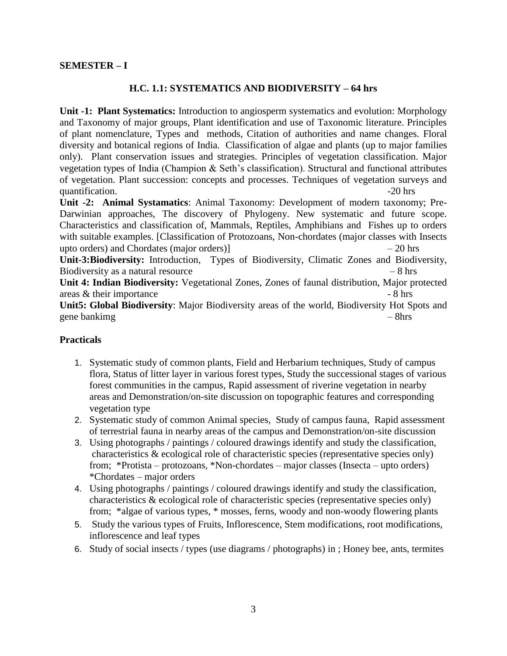# **H.C. 1.1: SYSTEMATICS AND BIODIVERSITY – 64 hrs**

**Unit -1: Plant Systematics:** Introduction to angiosperm systematics and evolution: Morphology and Taxonomy of major groups, Plant identification and use of Taxonomic literature. Principles of plant nomenclature, Types and methods, Citation of authorities and name changes. Floral diversity and botanical regions of India. Classification of algae and plants (up to major families only). Plant conservation issues and strategies. Principles of vegetation classification. Major vegetation types of India (Champion & Seth's classification). Structural and functional attributes of vegetation. Plant succession: concepts and processes. Techniques of vegetation surveys and quantification.  $\sim$  20 hrs

**Unit -2: Animal Systamatics**: Animal Taxonomy: Development of modern taxonomy; Pre-Darwinian approaches, The discovery of Phylogeny. New systematic and future scope. Characteristics and classification of, Mammals, Reptiles, Amphibians and Fishes up to orders with suitable examples. [Classification of Protozoans, Non-chordates (major classes with Insects upto orders) and Chordates (major orders)] – 20 hrs

**Unit-3:Biodiversity:** Introduction, Types of Biodiversity, Climatic Zones and Biodiversity, Biodiversity as a natural resource – 8 hrs

**Unit 4: Indian Biodiversity:** Vegetational Zones, Zones of faunal distribution, Major protected  $\alpha$  areas  $\&$  their importance  $\alpha$  - 8 hrs

**Unit5: Global Biodiversity**: Major Biodiversity areas of the world, Biodiversity Hot Spots and gene bankimg – 8hrs

- 1. Systematic study of common plants, Field and Herbarium techniques, Study of campus flora, Status of litter layer in various forest types, Study the successional stages of various forest communities in the campus, Rapid assessment of riverine vegetation in nearby areas and Demonstration/on-site discussion on topographic features and corresponding vegetation type
- 2. Systematic study of common Animal species, Study of campus fauna, Rapid assessment of terrestrial fauna in nearby areas of the campus and Demonstration/on-site discussion
- 3. Using photographs / paintings / coloured drawings identify and study the classification, characteristics & ecological role of characteristic species (representative species only) from; \*Protista – protozoans, \*Non-chordates – major classes (Insecta – upto orders) \*Chordates – major orders
- 4. Using photographs / paintings / coloured drawings identify and study the classification, characteristics & ecological role of characteristic species (representative species only) from; \*algae of various types, \* mosses, ferns, woody and non-woody flowering plants
- 5. Study the various types of Fruits, Inflorescence, Stem modifications, root modifications, inflorescence and leaf types
- 6. Study of social insects / types (use diagrams / photographs) in ; Honey bee, ants, termites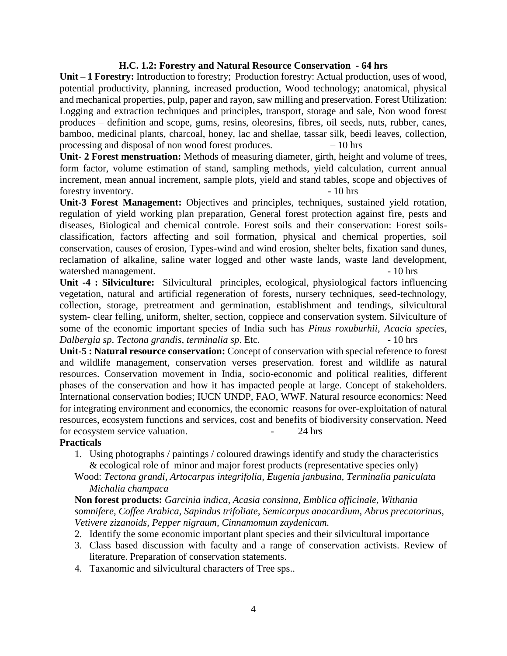#### **H.C. 1.2: Forestry and Natural Resource Conservation - 64 hrs**

**Unit – 1 Forestry:** Introduction to forestry; Production forestry: Actual production, uses of wood, potential productivity, planning, increased production, Wood technology; anatomical, physical and mechanical properties, pulp, paper and rayon, saw milling and preservation. Forest Utilization: Logging and extraction techniques and principles, transport, storage and sale, Non wood forest produces – definition and scope, gums, resins, oleoresins, fibres, oil seeds, nuts, rubber, canes, bamboo, medicinal plants, charcoal, honey, lac and shellae, tassar silk, beedi leaves, collection, processing and disposal of non wood forest produces. – 10 hrs

**Unit- 2 Forest menstruation:** Methods of measuring diameter, girth, height and volume of trees, form factor, volume estimation of stand, sampling methods, yield calculation, current annual increment, mean annual increment, sample plots, yield and stand tables, scope and objectives of forestry inventory.  $\sim$  - 10 hrs

**Unit-3 Forest Management:** Objectives and principles, techniques, sustained yield rotation, regulation of yield working plan preparation, General forest protection against fire, pests and diseases, Biological and chemical controle. Forest soils and their conservation: Forest soilsclassification, factors affecting and soil formation, physical and chemical properties, soil conservation, causes of erosion, Types-wind and wind erosion, shelter belts, fixation sand dunes, reclamation of alkaline, saline water logged and other waste lands, waste land development, watershed management.  $\sim$  10 hrs

**Unit -4 : Silviculture:** Silvicultural principles, ecological, physiological factors influencing vegetation, natural and artificial regeneration of forests, nursery techniques, seed-technology, collection, storage, pretreatment and germination, establishment and tendings, silvicultural system- clear felling, uniform, shelter, section, coppiece and conservation system. Silviculture of some of the economic important species of India such has *Pinus roxuburhii*, *Acacia species*, *Dalbergia sp*. *Tectona grandis*, *terminalia sp*. Etc. - 10 hrs

**Unit-5 : Natural resource conservation:** Concept of conservation with special reference to forest and wildlife management, conservation verses preservation. forest and wildlife as natural resources. Conservation movement in India, socio-economic and political realities, different phases of the conservation and how it has impacted people at large. Concept of stakeholders. International conservation bodies; IUCN UNDP, FAO, WWF. Natural resource economics: Need for integrating environment and economics, the economic reasons for over-exploitation of natural resources, ecosystem functions and services, cost and benefits of biodiversity conservation. Need for ecosystem service valuation.  $\sim$  24 hrs

#### **Practicals**

- 1. Using photographs / paintings / coloured drawings identify and study the characteristics & ecological role of minor and major forest products (representative species only)
- Wood: *Tectona grandi, Artocarpus integrifolia, Eugenia janbusina, Terminalia paniculata Michalia champaca*

**Non forest products:** *Garcinia indica, Acasia consinna, Emblica officinale, Withania somnifere, Coffee Arabica, Sapindus trifoliate, Semicarpus anacardium, Abrus precatorinus, Vetivere zizanoids, Pepper nigraum, Cinnamomum zaydenicam.*

- 2. Identify the some economic important plant species and their silvicultural importance
- 3. Class based discussion with faculty and a range of conservation activists. Review of literature. Preparation of conservation statements.
- 4. Taxanomic and silvicultural characters of Tree sps..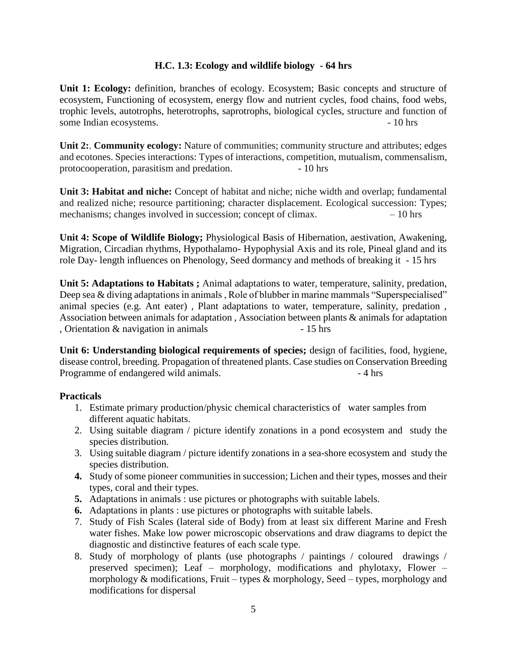# **H.C. 1.3: Ecology and wildlife biology - 64 hrs**

**Unit 1: Ecology:** definition, branches of ecology. Ecosystem; Basic concepts and structure of ecosystem, Functioning of ecosystem, energy flow and nutrient cycles, food chains, food webs, trophic levels, autotrophs, heterotrophs, saprotrophs, biological cycles, structure and function of some Indian ecosystems. - 10 hrs

**Unit 2:**. **Community ecology:** Nature of communities; community structure and attributes; edges and ecotones. Species interactions: Types of interactions, competition, mutualism, commensalism, protocooperation, parasitism and predation. - 10 hrs

**Unit 3: Habitat and niche:** Concept of habitat and niche; niche width and overlap; fundamental and realized niche; resource partitioning; character displacement. Ecological succession: Types; mechanisms; changes involved in succession; concept of climax. – 10 hrs

**Unit 4: Scope of Wildlife Biology;** Physiological Basis of Hibernation, aestivation, Awakening, Migration, Circadian rhythms, Hypothalamo- Hypophysial Axis and its role, Pineal gland and its role Day- length influences on Phenology, Seed dormancy and methods of breaking it - 15 hrs

**Unit 5: Adaptations to Habitats ;** Animal adaptations to water, temperature, salinity, predation, Deep sea & diving adaptations in animals, Role of blubber in marine mammals "Superspecialised" animal species (e.g. Ant eater) , Plant adaptations to water, temperature, salinity, predation , Association between animals for adaptation , Association between plants & animals for adaptation , Orientation  $\&$  navigation in animals  $-15$  hrs

**Unit 6: Understanding biological requirements of species;** design of facilities, food, hygiene, disease control, breeding. Propagation of threatened plants. Case studies on Conservation Breeding Programme of endangered wild animals. - 4 hrs

- 1. Estimate primary production/physic chemical characteristics of water samples from different aquatic habitats.
- 2. Using suitable diagram / picture identify zonations in a pond ecosystem and study the species distribution.
- 3. Using suitable diagram / picture identify zonations in a sea-shore ecosystem and study the species distribution.
- **4.** Study of some pioneer communities in succession; Lichen and their types, mosses and their types, coral and their types.
- **5.** Adaptations in animals : use pictures or photographs with suitable labels.
- **6.** Adaptations in plants : use pictures or photographs with suitable labels.
- 7. Study of Fish Scales (lateral side of Body) from at least six different Marine and Fresh water fishes. Make low power microscopic observations and draw diagrams to depict the diagnostic and distinctive features of each scale type.
- 8. Study of morphology of plants (use photographs / paintings / coloured drawings / preserved specimen); Leaf – morphology, modifications and phylotaxy, Flower – morphology  $\&$  modifications, Fruit – types  $\&$  morphology, Seed – types, morphology and modifications for dispersal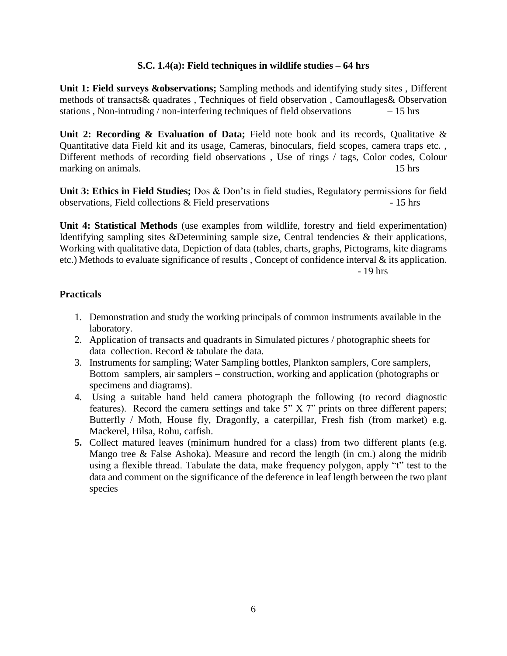# **S.C. 1.4(a): Field techniques in wildlife studies – 64 hrs**

**Unit 1: Field surveys &observations;** Sampling methods and identifying study sites , Different methods of transacts& quadrates , Techniques of field observation , Camouflages& Observation stations , Non-intruding / non-interfering techniques of field observations  $-15$  hrs

Unit 2: Recording & Evaluation of Data; Field note book and its records, Qualitative & Quantitative data Field kit and its usage, Cameras, binoculars, field scopes, camera traps etc. , Different methods of recording field observations , Use of rings / tags, Color codes, Colour marking on animals.  $-15$  hrs

**Unit 3: Ethics in Field Studies;** Dos & Don'ts in field studies, Regulatory permissions for field observations, Field collections & Field preservations - 15 hrs

**Unit 4: Statistical Methods** (use examples from wildlife, forestry and field experimentation) Identifying sampling sites &Determining sample size, Central tendencies & their applications, Working with qualitative data, Depiction of data (tables, charts, graphs, Pictograms, kite diagrams etc.) Methods to evaluate significance of results , Concept of confidence interval & its application. - 19 hrs

- 1. Demonstration and study the working principals of common instruments available in the laboratory.
- 2. Application of transacts and quadrants in Simulated pictures / photographic sheets for data collection. Record & tabulate the data.
- 3. Instruments for sampling; Water Sampling bottles, Plankton samplers, Core samplers, Bottom samplers, air samplers – construction, working and application (photographs or specimens and diagrams).
- 4. Using a suitable hand held camera photograph the following (to record diagnostic features). Record the camera settings and take 5" X 7" prints on three different papers; Butterfly / Moth, House fly, Dragonfly, a caterpillar, Fresh fish (from market) e.g. Mackerel, Hilsa, Rohu, catfish.
- **5.** Collect matured leaves (minimum hundred for a class) from two different plants (e.g. Mango tree & False Ashoka). Measure and record the length (in cm.) along the midrib using a flexible thread. Tabulate the data, make frequency polygon, apply "t" test to the data and comment on the significance of the deference in leaf length between the two plant species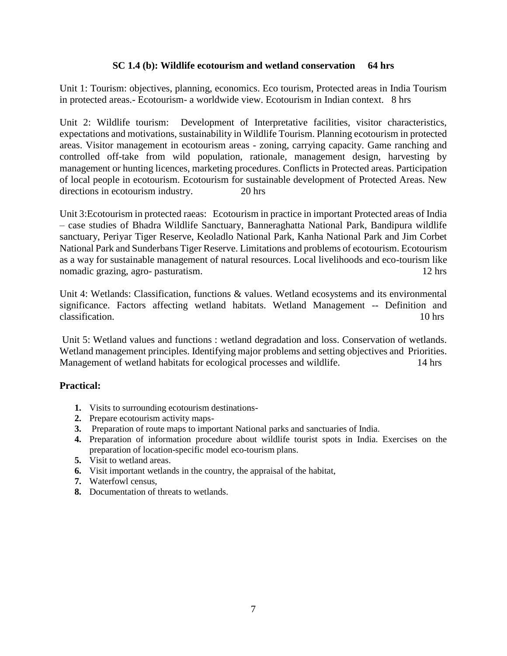# **SC 1.4 (b): Wildlife ecotourism and wetland conservation 64 hrs**

Unit 1: Tourism: objectives, planning, economics. Eco tourism, Protected areas in India Tourism in protected areas.- Ecotourism- a worldwide view. Ecotourism in Indian context. 8 hrs

Unit 2: Wildlife tourism: Development of Interpretative facilities, visitor characteristics, expectations and motivations, sustainability in Wildlife Tourism. Planning ecotourism in protected areas. Visitor management in ecotourism areas - zoning, carrying capacity. Game ranching and controlled off-take from wild population, rationale, management design, harvesting by management or hunting licences, marketing procedures. Conflicts in Protected areas. Participation of local people in ecotourism. Ecotourism for sustainable development of Protected Areas. New directions in ecotourism industry. 20 hrs

Unit 3:Ecotourism in protected raeas: Ecotourism in practice in important Protected areas of India – case studies of Bhadra Wildlife Sanctuary, Banneraghatta National Park, Bandipura wildlife sanctuary, Periyar Tiger Reserve, Keoladlo National Park, Kanha National Park and Jim Corbet National Park and Sunderbans Tiger Reserve. Limitations and problems of ecotourism. Ecotourism as a way for sustainable management of natural resources. Local livelihoods and eco-tourism like nomadic grazing, agro- pasturatism. 12 hrs

Unit 4: Wetlands: Classification, functions & values. Wetland ecosystems and its environmental significance. Factors affecting wetland habitats. Wetland Management -- Definition and classification. 10 hrs

Unit 5: Wetland values and functions : wetland degradation and loss. Conservation of wetlands. Wetland management principles. Identifying major problems and setting objectives and Priorities. Management of wetland habitats for ecological processes and wildlife. 14 hrs

# **Practical:**

- **1.** Visits to surrounding ecotourism destinations-
- **2.** Prepare ecotourism activity maps-
- **3.** Preparation of route maps to important National parks and sanctuaries of India.
- **4.** Preparation of information procedure about wildlife tourist spots in India. Exercises on the preparation of location-specific model eco-tourism plans.
- **5.** Visit to wetland areas.
- **6.** Visit important wetlands in the country, the appraisal of the habitat,
- **7.** Waterfowl census,
- **8.** Documentation of threats to wetlands.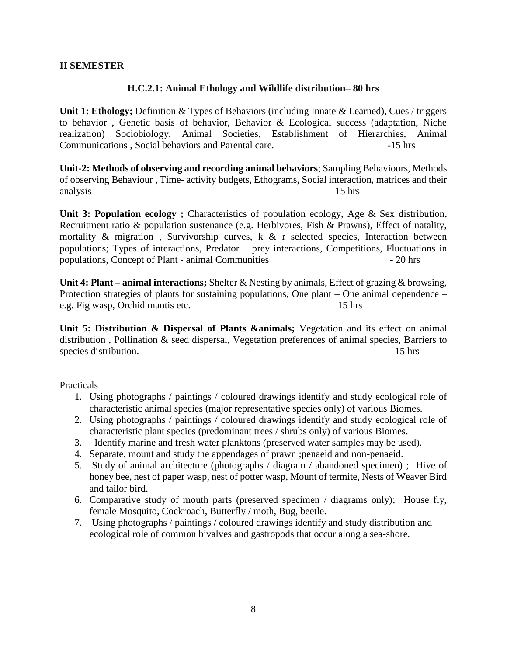# **II SEMESTER**

# **H.C.2.1: Animal Ethology and Wildlife distribution– 80 hrs**

**Unit 1: Ethology;** Definition & Types of Behaviors (including Innate & Learned), Cues / triggers to behavior , Genetic basis of behavior, Behavior & Ecological success (adaptation, Niche realization) Sociobiology, Animal Societies, Establishment of Hierarchies, Animal Communications , Social behaviors and Parental care. -15 hrs

**Unit-2: Methods of observing and recording animal behaviors**; Sampling Behaviours, Methods of observing Behaviour , Time- activity budgets, Ethograms, Social interaction, matrices and their analysis  $-15$  hrs

Unit 3: Population ecology; Characteristics of population ecology, Age & Sex distribution, Recruitment ratio & population sustenance (e.g. Herbivores, Fish & Prawns), Effect of natality, mortality & migration , Survivorship curves, k & r selected species, Interaction between populations; Types of interactions, Predator – prey interactions, Competitions, Fluctuations in populations, Concept of Plant - animal Communities - 20 hrs

**Unit 4: Plant – animal interactions;** Shelter & Nesting by animals, Effect of grazing & browsing, Protection strategies of plants for sustaining populations, One plant – One animal dependence – e.g. Fig wasp, Orchid mantis etc.  $-15 \text{ hrs}$ 

**Unit 5: Distribution & Dispersal of Plants &animals;** Vegetation and its effect on animal distribution , Pollination & seed dispersal, Vegetation preferences of animal species, Barriers to species distribution.  $-15$  hrs

- 1. Using photographs / paintings / coloured drawings identify and study ecological role of characteristic animal species (major representative species only) of various Biomes.
- 2. Using photographs / paintings / coloured drawings identify and study ecological role of characteristic plant species (predominant trees / shrubs only) of various Biomes.
- 3. Identify marine and fresh water planktons (preserved water samples may be used).
- 4. Separate, mount and study the appendages of prawn ;penaeid and non-penaeid.
- 5. Study of animal architecture (photographs / diagram / abandoned specimen) ; Hive of honey bee, nest of paper wasp, nest of potter wasp, Mount of termite, Nests of Weaver Bird and tailor bird.
- 6. Comparative study of mouth parts (preserved specimen / diagrams only); House fly, female Mosquito, Cockroach, Butterfly / moth, Bug, beetle.
- 7. Using photographs / paintings / coloured drawings identify and study distribution and ecological role of common bivalves and gastropods that occur along a sea-shore.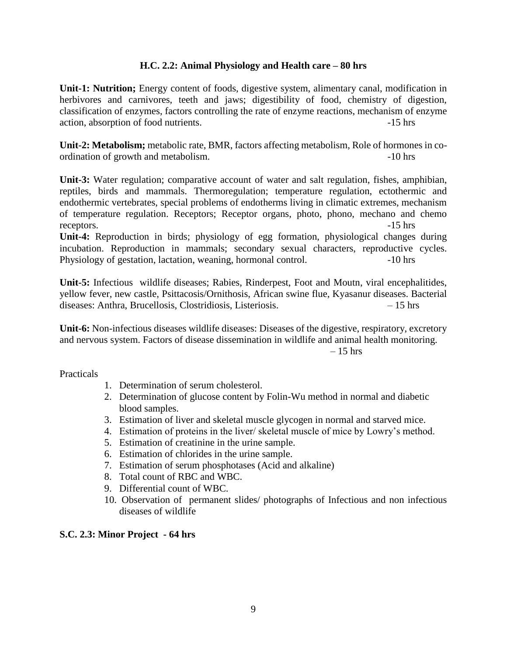# **H.C. 2.2: Animal Physiology and Health care – 80 hrs**

**Unit-1: Nutrition;** Energy content of foods, digestive system, alimentary canal, modification in herbivores and carnivores, teeth and jaws; digestibility of food, chemistry of digestion, classification of enzymes, factors controlling the rate of enzyme reactions, mechanism of enzyme action, absorption of food nutrients.  $-15 \text{ hrs}$ 

**Unit-2: Metabolism;** metabolic rate, BMR, factors affecting metabolism, Role of hormones in coordination of growth and metabolism.  $\sim$  -10 hrs

**Unit-3:** Water regulation; comparative account of water and salt regulation, fishes, amphibian, reptiles, birds and mammals. Thermoregulation; temperature regulation, ectothermic and endothermic vertebrates, special problems of endotherms living in climatic extremes, mechanism of temperature regulation. Receptors; Receptor organs, photo, phono, mechano and chemo receptors.  $-15 \text{ hrs}$ 

**Unit-4:** Reproduction in birds; physiology of egg formation, physiological changes during incubation. Reproduction in mammals; secondary sexual characters, reproductive cycles. Physiology of gestation, lactation, weaning, hormonal control. -10 hrs

**Unit-5:** Infectious wildlife diseases; Rabies, Rinderpest, Foot and Moutn, viral encephalitides, yellow fever, new castle, Psittacosis/Ornithosis, African swine flue, Kyasanur diseases. Bacterial diseases: Anthra, Brucellosis, Clostridiosis, Listeriosis. – 15 hrs

**Unit-6:** Non-infectious diseases wildlife diseases: Diseases of the digestive, respiratory, excretory and nervous system. Factors of disease dissemination in wildlife and animal health monitoring.

 $-15$  hrs

Practicals

- 1. Determination of serum cholesterol.
- 2. Determination of glucose content by Folin-Wu method in normal and diabetic blood samples.
- 3. Estimation of liver and skeletal muscle glycogen in normal and starved mice.
- 4. Estimation of proteins in the liver/ skeletal muscle of mice by Lowry's method.
- 5. Estimation of creatinine in the urine sample.
- 6. Estimation of chlorides in the urine sample.
- 7. Estimation of serum phosphotases (Acid and alkaline)
- 8. Total count of RBC and WBC.
- 9. Differential count of WBC.
- 10. Observation of permanent slides/ photographs of Infectious and non infectious diseases of wildlife

# **S.C. 2.3: Minor Project - 64 hrs**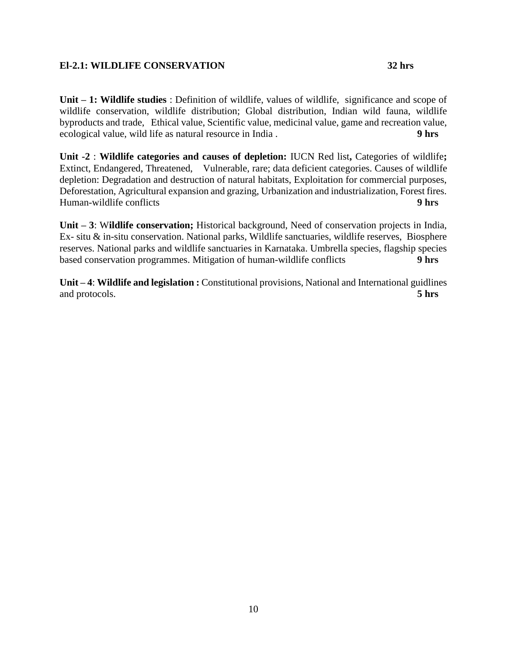# **El-2.1: WILDLIFE CONSERVATION 32 hrs**

**Unit – 1: Wildlife studies** : Definition of wildlife, values of wildlife, significance and scope of wildlife conservation, wildlife distribution; Global distribution, Indian wild fauna, wildlife byproducts and trade, Ethical value, Scientific value, medicinal value, game and recreation value, ecological value, wild life as natural resource in India . **9 hrs** 

**Unit -2** : **Wildlife categories and causes of depletion:** IUCN Red list**,** Categories of wildlife**;**  Extinct, Endangered, Threatened, Vulnerable, rare; data deficient categories. Causes of wildlife depletion: Degradation and destruction of natural habitats, Exploitation for commercial purposes, Deforestation, Agricultural expansion and grazing, Urbanization and industrialization, Forest fires. Human-wildlife conflicts **9 hrs**

**Unit – 3**: W**ildlife conservation;** Historical background, Need of conservation projects in India, Ex- situ & in-situ conservation. National parks, Wildlife sanctuaries, wildlife reserves, Biosphere reserves. National parks and wildlife sanctuaries in Karnataka. Umbrella species, flagship species based conservation programmes. Mitigation of human-wildlife conflicts **9 hrs**

**Unit – 4**: **Wildlife and legislation :** Constitutional provisions, National and International guidlines and protocols. **5 hrs**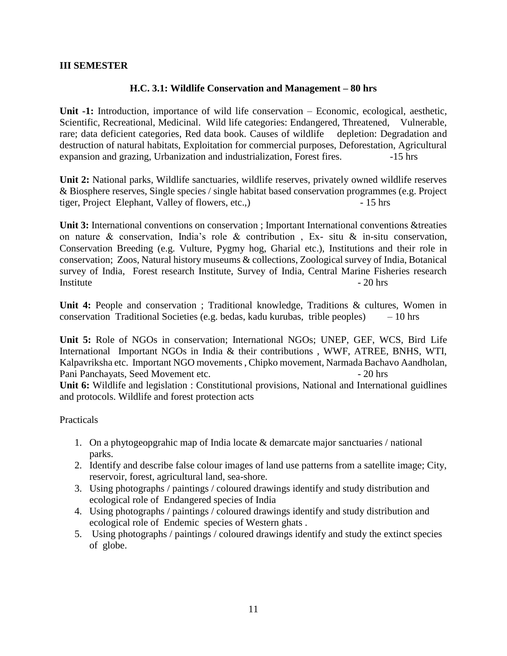# **III SEMESTER**

# **H.C. 3.1: Wildlife Conservation and Management – 80 hrs**

**Unit -1:** Introduction, importance of wild life conservation – Economic, ecological, aesthetic, Scientific, Recreational, Medicinal. Wild life categories: Endangered, Threatened, Vulnerable, rare; data deficient categories, Red data book. Causes of wildlife depletion: Degradation and destruction of natural habitats, Exploitation for commercial purposes, Deforestation, Agricultural expansion and grazing, Urbanization and industrialization, Forest fires. -15 hrs

**Unit 2:** National parks, Wildlife sanctuaries, wildlife reserves, privately owned wildlife reserves & Biosphere reserves, Single species / single habitat based conservation programmes (e.g. Project tiger, Project Elephant, Valley of flowers, etc.,) - 15 hrs

**Unit 3:** International conventions on conservation ; Important International conventions &treaties on nature & conservation, India's role & contribution , Ex- situ & in-situ conservation, Conservation Breeding (e.g. Vulture, Pygmy hog, Gharial etc.), Institutions and their role in conservation; Zoos, Natural history museums & collections, Zoological survey of India, Botanical survey of India, Forest research Institute, Survey of India, Central Marine Fisheries research Institute - 20 hrs

**Unit 4:** People and conservation ; Traditional knowledge, Traditions & cultures, Women in conservation Traditional Societies (e.g. bedas, kadu kurubas, trible peoples)  $-10$  hrs

**Unit 5:** Role of NGOs in conservation; International NGOs; UNEP, GEF, WCS, Bird Life International Important NGOs in India & their contributions , WWF, ATREE, BNHS, WTI, Kalpavriksha etc. Important NGO movements , Chipko movement, Narmada Bachavo Aandholan, Pani Panchayats, Seed Movement etc. - 20 hrs

**Unit 6:** Wildlife and legislation : Constitutional provisions, National and International guidlines and protocols. Wildlife and forest protection acts

- 1. On a phytogeopgrahic map of India locate & demarcate major sanctuaries / national parks.
- 2. Identify and describe false colour images of land use patterns from a satellite image; City, reservoir, forest, agricultural land, sea-shore.
- 3. Using photographs / paintings / coloured drawings identify and study distribution and ecological role of Endangered species of India
- 4. Using photographs / paintings / coloured drawings identify and study distribution and ecological role of Endemic species of Western ghats .
- 5. Using photographs / paintings / coloured drawings identify and study the extinct species of globe.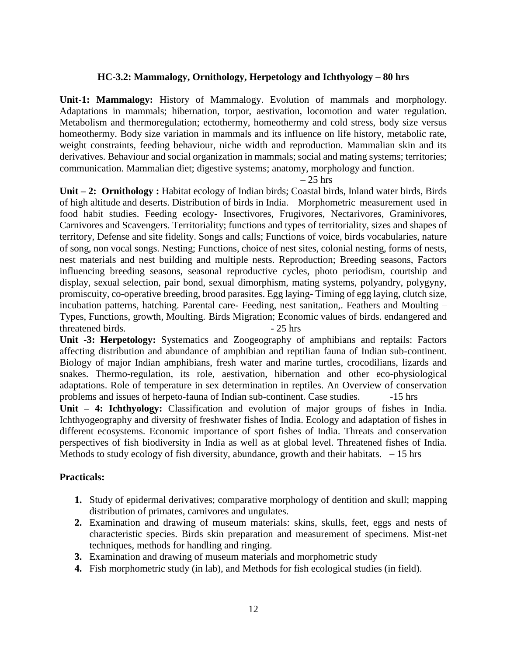# **HC-3.2: Mammalogy, Ornithology, Herpetology and Ichthyology – 80 hrs**

**Unit-1: Mammalogy:** History of Mammalogy. Evolution of mammals and morphology. Adaptations in mammals; hibernation, torpor, aestivation, locomotion and water regulation. Metabolism and thermoregulation; ectothermy, homeothermy and cold stress, body size versus homeothermy. Body size variation in mammals and its influence on life history, metabolic rate, weight constraints, feeding behaviour, niche width and reproduction. Mammalian skin and its derivatives. Behaviour and social organization in mammals; social and mating systems; territories; communication. Mammalian diet; digestive systems; anatomy, morphology and function.

 $-25$  hrs

Unit – 2: Ornithology : Habitat ecology of Indian birds; Coastal birds, Inland water birds, Birds of high altitude and deserts. Distribution of birds in India. Morphometric measurement used in food habit studies. Feeding ecology- Insectivores, Frugivores, Nectarivores, Graminivores, Carnivores and Scavengers. Territoriality; functions and types of territoriality, sizes and shapes of territory, Defense and site fidelity. Songs and calls; Functions of voice, birds vocabularies, nature of song, non vocal songs. Nesting; Functions, choice of nest sites, colonial nesting, forms of nests, nest materials and nest building and multiple nests. Reproduction; Breeding seasons, Factors influencing breeding seasons, seasonal reproductive cycles, photo periodism, courtship and display, sexual selection, pair bond, sexual dimorphism, mating systems, polyandry, polygyny, promiscuity, co-operative breeding, brood parasites. Egg laying- Timing of egg laying, clutch size, incubation patterns, hatching. Parental care- Feeding, nest sanitation,. Feathers and Moulting – Types, Functions, growth, Moulting. Birds Migration; Economic values of birds. endangered and threatened birds.  $-25 \text{ hrs}$ 

**Unit -3: Herpetology:** Systematics and Zoogeography of amphibians and reptails: Factors affecting distribution and abundance of amphibian and reptilian fauna of Indian sub-continent. Biology of major Indian amphibians, fresh water and marine turtles, crocodilians, lizards and snakes. Thermo-regulation, its role, aestivation, hibernation and other eco-physiological adaptations. Role of temperature in sex determination in reptiles. An Overview of conservation problems and issues of herpeto-fauna of Indian sub-continent. Case studies. -15 hrs **Unit – 4: Ichthyology:** Classification and evolution of major groups of fishes in India. Ichthyogeography and diversity of freshwater fishes of India. Ecology and adaptation of fishes in different ecosystems. Economic importance of sport fishes of India. Threats and conservation perspectives of fish biodiversity in India as well as at global level. Threatened fishes of India. Methods to study ecology of fish diversity, abundance, growth and their habitats.  $-15$  hrs

- **1.** Study of epidermal derivatives; comparative morphology of dentition and skull; mapping distribution of primates, carnivores and ungulates.
- **2.** Examination and drawing of museum materials: skins, skulls, feet, eggs and nests of characteristic species. Birds skin preparation and measurement of specimens. Mist-net techniques, methods for handling and ringing.
- **3.** Examination and drawing of museum materials and morphometric study
- **4.** Fish morphometric study (in lab), and Methods for fish ecological studies (in field).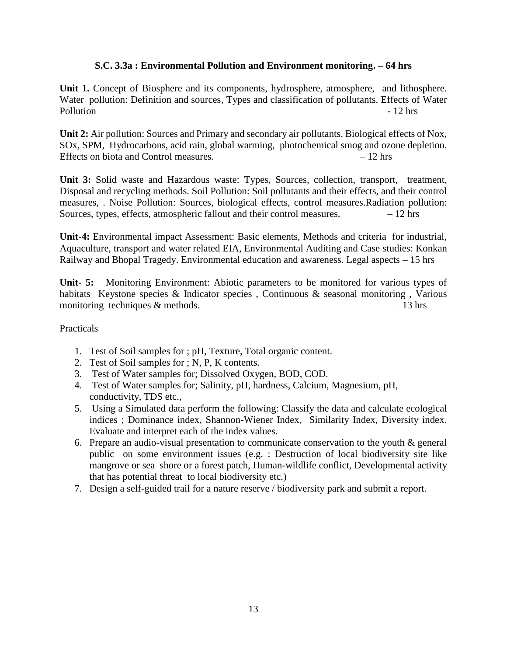# **S.C. 3.3a : Environmental Pollution and Environment monitoring. – 64 hrs**

**Unit 1.** Concept of Biosphere and its components, hydrosphere, atmosphere, and lithosphere. Water pollution: Definition and sources, Types and classification of pollutants. Effects of Water Pollution **Pollution** - 12 hrs

**Unit 2:** Air pollution: Sources and Primary and secondary air pollutants. Biological effects of Nox, SOx, SPM, Hydrocarbons, acid rain, global warming, photochemical smog and ozone depletion. Effects on biota and Control measures. – 12 hrs

**Unit 3:** Solid waste and Hazardous waste: Types, Sources, collection, transport, treatment, Disposal and recycling methods. Soil Pollution: Soil pollutants and their effects, and their control measures, . Noise Pollution: Sources, biological effects, control measures.Radiation pollution: Sources, types, effects, atmospheric fallout and their control measures.  $-12$  hrs

**Unit-4:** Environmental impact Assessment: Basic elements, Methods and criteria for industrial, Aquaculture, transport and water related EIA, Environmental Auditing and Case studies: Konkan Railway and Bhopal Tragedy. Environmental education and awareness. Legal aspects – 15 hrs

**Unit- 5:** Monitoring Environment: Abiotic parameters to be monitored for various types of habitats Keystone species & Indicator species, Continuous & seasonal monitoring, Various monitoring techniques  $\&$  methods.  $-13 \text{ hrs}$ 

- 1. Test of Soil samples for ; pH, Texture, Total organic content.
- 2. Test of Soil samples for ; N, P, K contents.
- 3. Test of Water samples for; Dissolved Oxygen, BOD, COD.
- 4. Test of Water samples for; Salinity, pH, hardness, Calcium, Magnesium, pH, conductivity, TDS etc.,
- 5. Using a Simulated data perform the following: Classify the data and calculate ecological indices ; Dominance index, Shannon-Wiener Index, Similarity Index, Diversity index. Evaluate and interpret each of the index values.
- 6. Prepare an audio-visual presentation to communicate conservation to the youth & general public on some environment issues (e.g. : Destruction of local biodiversity site like mangrove or sea shore or a forest patch, Human-wildlife conflict, Developmental activity that has potential threat to local biodiversity etc.)
- 7. Design a self-guided trail for a nature reserve / biodiversity park and submit a report.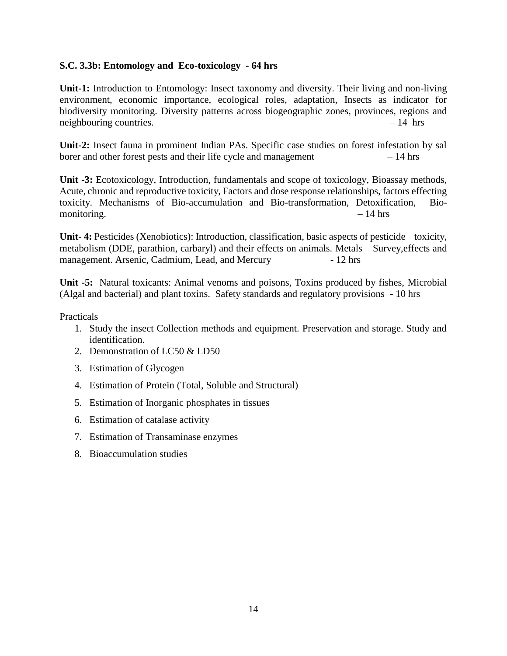# **S.C. 3.3b: Entomology and Eco-toxicology - 64 hrs**

**Unit-1:** Introduction to Entomology: Insect taxonomy and diversity. Their living and non-living environment, economic importance, ecological roles, adaptation, Insects as indicator for biodiversity monitoring. Diversity patterns across biogeographic zones, provinces, regions and neighbouring countries. – 14 hrs

**Unit-2:** Insect fauna in prominent Indian PAs. Specific case studies on forest infestation by sal borer and other forest pests and their life cycle and management – 14 hrs

**Unit -3:** Ecotoxicology, Introduction, fundamentals and scope of toxicology, Bioassay methods, Acute, chronic and reproductive toxicity, Factors and dose response relationships, factors effecting toxicity. Mechanisms of Bio-accumulation and Bio-transformation, Detoxification, Biomonitoring.  $-14 \text{ hrs}$ 

**Unit- 4:** Pesticides (Xenobiotics): Introduction, classification, basic aspects of pesticide toxicity, metabolism (DDE, parathion, carbaryl) and their effects on animals. Metals – Survey,effects and management. Arsenic, Cadmium, Lead, and Mercury - 12 hrs

**Unit -5:** Natural toxicants: Animal venoms and poisons, Toxins produced by fishes, Microbial (Algal and bacterial) and plant toxins. Safety standards and regulatory provisions - 10 hrs

- 1. Study the insect Collection methods and equipment. Preservation and storage. Study and identification.
- 2. Demonstration of LC50 & LD50
- 3. Estimation of Glycogen
- 4. Estimation of Protein (Total, Soluble and Structural)
- 5. Estimation of Inorganic phosphates in tissues
- 6. Estimation of catalase activity
- 7. Estimation of Transaminase enzymes
- 8. Bioaccumulation studies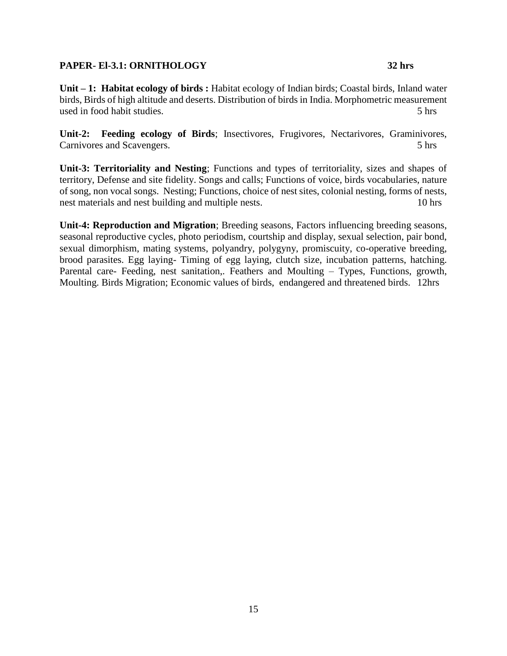# **PAPER- El-3.1: ORNITHOLOGY 32 hrs**

Unit – 1: Habitat ecology of birds : Habitat ecology of Indian birds; Coastal birds, Inland water birds, Birds of high altitude and deserts. Distribution of birds in India. Morphometric measurement used in food habit studies. 5 hrs

**Unit-2: Feeding ecology of Birds**; Insectivores, Frugivores, Nectarivores, Graminivores, Carnivores and Scavengers. 5 hrs

**Unit-3: Territoriality and Nesting**; Functions and types of territoriality, sizes and shapes of territory, Defense and site fidelity. Songs and calls; Functions of voice, birds vocabularies, nature of song, non vocal songs. Nesting; Functions, choice of nest sites, colonial nesting, forms of nests, nest materials and nest building and multiple nests. 10 hrs

**Unit-4: Reproduction and Migration**; Breeding seasons, Factors influencing breeding seasons, seasonal reproductive cycles, photo periodism, courtship and display, sexual selection, pair bond, sexual dimorphism, mating systems, polyandry, polygyny, promiscuity, co-operative breeding, brood parasites. Egg laying- Timing of egg laying, clutch size, incubation patterns, hatching. Parental care- Feeding, nest sanitation,. Feathers and Moulting – Types, Functions, growth, Moulting. Birds Migration; Economic values of birds, endangered and threatened birds. 12hrs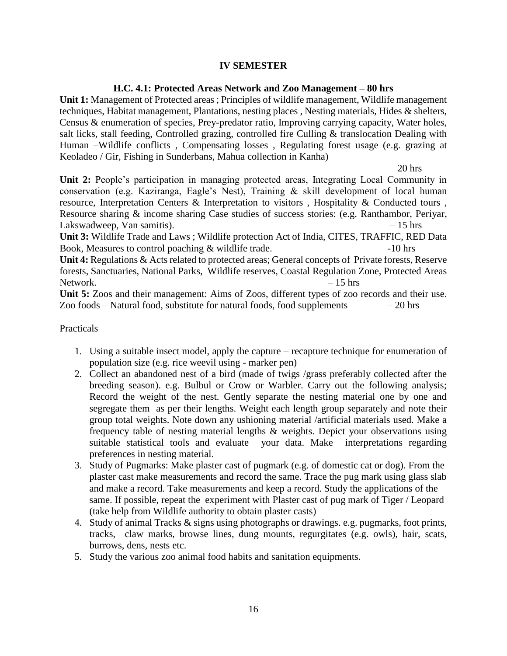# **IV SEMESTER**

# **H.C. 4.1: Protected Areas Network and Zoo Management – 80 hrs**

**Unit 1:** Management of Protected areas ; Principles of wildlife management, Wildlife management techniques, Habitat management, Plantations, nesting places , Nesting materials, Hides & shelters, Census & enumeration of species, Prey-predator ratio, Improving carrying capacity, Water holes, salt licks, stall feeding, Controlled grazing, controlled fire Culling & translocation Dealing with Human –Wildlife conflicts , Compensating losses , Regulating forest usage (e.g. grazing at Keoladeo / Gir, Fishing in Sunderbans, Mahua collection in Kanha)

 $-20$  hrs

**Unit 2:** People's participation in managing protected areas, Integrating Local Community in conservation (e.g. Kaziranga, Eagle's Nest), Training & skill development of local human resource, Interpretation Centers & Interpretation to visitors , Hospitality & Conducted tours , Resource sharing & income sharing Case studies of success stories: (e.g. Ranthambor, Periyar, Lakswadweep, Van samitis). – 15 hrs

**Unit 3:** Wildlife Trade and Laws ; Wildlife protection Act of India, CITES, TRAFFIC, RED Data Book, Measures to control poaching & wildlife trade.  $-10$  hrs

**Unit 4:** Regulations & Acts related to protected areas; General concepts of Private forests, Reserve forests, Sanctuaries, National Parks, Wildlife reserves, Coastal Regulation Zone, Protected Areas Network. – 15 hrs

**Unit 5:** Zoos and their management: Aims of Zoos, different types of zoo records and their use. Zoo foods – Natural food, substitute for natural foods, food supplements  $-20$  hrs

- 1. Using a suitable insect model, apply the capture recapture technique for enumeration of population size (e.g. rice weevil using - marker pen)
- 2. Collect an abandoned nest of a bird (made of twigs /grass preferably collected after the breeding season). e.g. Bulbul or Crow or Warbler. Carry out the following analysis; Record the weight of the nest. Gently separate the nesting material one by one and segregate them as per their lengths. Weight each length group separately and note their group total weights. Note down any ushioning material /artificial materials used. Make a frequency table of nesting material lengths & weights. Depict your observations using suitable statistical tools and evaluate your data. Make interpretations regarding preferences in nesting material.
- 3. Study of Pugmarks: Make plaster cast of pugmark (e.g. of domestic cat or dog). From the plaster cast make measurements and record the same. Trace the pug mark using glass slab and make a record. Take measurements and keep a record. Study the applications of the same. If possible, repeat the experiment with Plaster cast of pug mark of Tiger / Leopard (take help from Wildlife authority to obtain plaster casts)
- 4. Study of animal Tracks & signs using photographs or drawings. e.g. pugmarks, foot prints, tracks, claw marks, browse lines, dung mounts, regurgitates (e.g. owls), hair, scats, burrows, dens, nests etc.
- 5. Study the various zoo animal food habits and sanitation equipments.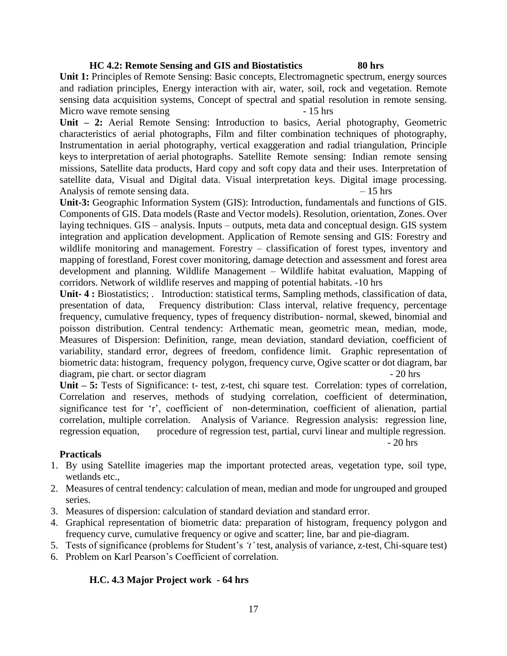#### **HC 4.2: Remote Sensing and GIS and Biostatistics 80 hrs**

**Unit 1:** Principles of Remote Sensing: Basic concepts, Electromagnetic spectrum, energy sources and radiation principles, Energy interaction with air, water, soil, rock and vegetation. Remote sensing data acquisition systems, Concept of spectral and spatial resolution in remote sensing. Micro wave remote sensing  $-15$  hrs

**Unit – 2:** Aerial Remote Sensing: Introduction to basics, Aerial photography, Geometric characteristics of aerial photographs, Film and filter combination techniques of photography, Instrumentation in aerial photography, vertical exaggeration and radial triangulation, Principle keys to interpretation of aerial photographs. Satellite Remote sensing: Indian remote sensing missions, Satellite data products, Hard copy and soft copy data and their uses. Interpretation of satellite data, Visual and Digital data. Visual interpretation keys. Digital image processing. Analysis of remote sensing data.  $-15$  hrs

**Unit-3:** Geographic Information System (GIS): Introduction, fundamentals and functions of GIS. Components of GIS. Data models (Raste and Vector models). Resolution, orientation, Zones. Over laying techniques. GIS – analysis. Inputs – outputs, meta data and conceptual design. GIS system integration and application development. Application of Remote sensing and GIS: Forestry and wildlife monitoring and management. Forestry – classification of forest types, inventory and mapping of forestland, Forest cover monitoring, damage detection and assessment and forest area development and planning. Wildlife Management – Wildlife habitat evaluation, Mapping of corridors. Network of wildlife reserves and mapping of potential habitats. -10 hrs

**Unit- 4 :** Biostatistics; . Introduction: statistical terms, Sampling methods, classification of data, presentation of data, Frequency distribution: Class interval, relative frequency, percentage frequency, cumulative frequency, types of frequency distribution- normal, skewed, binomial and poisson distribution. Central tendency: Arthematic mean, geometric mean, median, mode, Measures of Dispersion: Definition, range, mean deviation, standard deviation, coefficient of variability, standard error, degrees of freedom, confidence limit. Graphic representation of biometric data: histogram, frequency polygon, frequency curve, Ogive scatter or dot diagram, bar diagram, pie chart. or sector diagram  $-20$  hrs

**Unit – 5:** Tests of Significance: t- test, z-test, chi square test. Correlation: types of correlation, Correlation and reserves, methods of studying correlation, coefficient of determination, significance test for 'r', coefficient of non-determination, coefficient of alienation, partial correlation, multiple correlation. Analysis of Variance. Regression analysis: regression line, regression equation, procedure of regression test, partial, curvi linear and multiple regression.

#### **Practicals**

- 1. By using Satellite imageries map the important protected areas, vegetation type, soil type, wetlands etc.,
- 2. Measures of central tendency: calculation of mean, median and mode for ungrouped and grouped series.
- 3. Measures of dispersion: calculation of standard deviation and standard error.
- 4. Graphical representation of biometric data: preparation of histogram, frequency polygon and frequency curve, cumulative frequency or ogive and scatter; line, bar and pie-diagram.
- 5. Tests of significance (problems for Student's *'t'* test, analysis of variance, z-test, Chi-square test)
- 6. Problem on Karl Pearson's Coefficient of correlation.

# **H.C. 4.3 Major Project work - 64 hrs**

- 20 hrs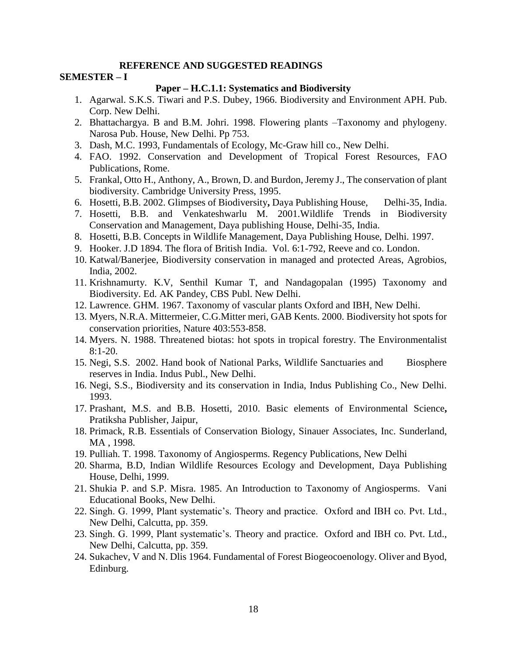#### **REFERENCE AND SUGGESTED READINGS**

#### **SEMESTER – I**

#### **Paper – H.C.1.1: Systematics and Biodiversity**

- 1. Agarwal. S.K.S. Tiwari and P.S. Dubey, 1966. Biodiversity and Environment APH. Pub. Corp. New Delhi.
- 2. Bhattachargya. B and B.M. Johri. 1998. Flowering plants –Taxonomy and phylogeny. Narosa Pub. House, New Delhi. Pp 753.
- 3. Dash, M.C. 1993, Fundamentals of Ecology, Mc-Graw hill co., New Delhi.
- 4. FAO. 1992. Conservation and Development of Tropical Forest Resources, FAO Publications, Rome.
- 5. Frankal, Otto H., Anthony, A., Brown, D. and Burdon, Jeremy J., The conservation of plant biodiversity. Cambridge University Press, 1995.
- 6. Hosetti, B.B. 2002. Glimpses of Biodiversity**,** Daya Publishing House, Delhi-35, India.
- 7. Hosetti, B.B. and Venkateshwarlu M. 2001.Wildlife Trends in Biodiversity Conservation and Management, Daya publishing House, Delhi-35, India.
- 8. Hosetti, B.B. Concepts in Wildlife Management, Daya Publishing House, Delhi. 1997.
- 9. Hooker. J.D 1894. The flora of British India. Vol. 6:1-792, Reeve and co. London.
- 10. Katwal/Banerjee, Biodiversity conservation in managed and protected Areas, Agrobios, India, 2002.
- 11. Krishnamurty. K.V, Senthil Kumar T, and Nandagopalan (1995) Taxonomy and Biodiversity. Ed. AK Pandey, CBS Publ. New Delhi.
- 12. Lawrence. GHM. 1967. Taxonomy of vascular plants Oxford and IBH, New Delhi.
- 13. Myers, N.R.A. Mittermeier, C.G.Mitter meri, GAB Kents. 2000. Biodiversity hot spots for conservation priorities, Nature 403:553-858.
- 14. Myers. N. 1988. Threatened biotas: hot spots in tropical forestry. The Environmentalist 8:1-20.
- 15. Negi, S.S. 2002. Hand book of National Parks, Wildlife Sanctuaries and Biosphere reserves in India. Indus Publ., New Delhi.
- 16. Negi, S.S., Biodiversity and its conservation in India, Indus Publishing Co., New Delhi. 1993.
- 17. Prashant, M.S. and B.B. Hosetti, 2010. Basic elements of Environmental Science**,** Pratiksha Publisher, Jaipur,
- 18. Primack, R.B. Essentials of Conservation Biology, Sinauer Associates, Inc. Sunderland, MA , 1998.
- 19. Pulliah. T. 1998. Taxonomy of Angiosperms. Regency Publications, New Delhi
- 20. Sharma, B.D, Indian Wildlife Resources Ecology and Development, Daya Publishing House, Delhi, 1999.
- 21. Shukia P. and S.P. Misra. 1985. An Introduction to Taxonomy of Angiosperms. Vani Educational Books, New Delhi.
- 22. Singh. G. 1999, Plant systematic's. Theory and practice. Oxford and IBH co. Pvt. Ltd., New Delhi, Calcutta, pp. 359.
- 23. Singh. G. 1999, Plant systematic's. Theory and practice. Oxford and IBH co. Pvt. Ltd., New Delhi, Calcutta, pp. 359.
- 24. Sukachev, V and N. Dlis 1964. Fundamental of Forest Biogeocoenology. Oliver and Byod, Edinburg.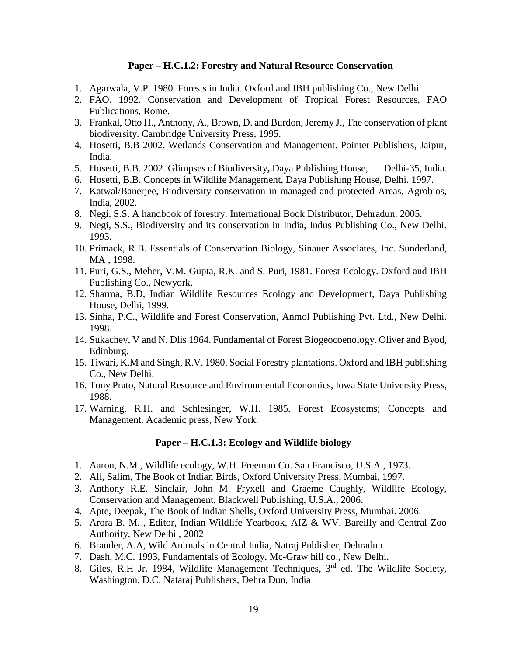# **Paper – H.C.1.2: Forestry and Natural Resource Conservation**

- 1. Agarwala, V.P. 1980. Forests in India. Oxford and IBH publishing Co., New Delhi.
- 2. FAO. 1992. Conservation and Development of Tropical Forest Resources, FAO Publications, Rome.
- 3. Frankal, Otto H., Anthony, A., Brown, D. and Burdon, Jeremy J., The conservation of plant biodiversity. Cambridge University Press, 1995.
- 4. Hosetti, B.B 2002. Wetlands Conservation and Management. Pointer Publishers, Jaipur, India.
- 5. Hosetti, B.B. 2002. Glimpses of Biodiversity**,** Daya Publishing House, Delhi-35, India.
- 6. Hosetti, B.B. Concepts in Wildlife Management, Daya Publishing House, Delhi. 1997.
- 7. Katwal/Banerjee, Biodiversity conservation in managed and protected Areas, Agrobios, India, 2002.
- 8. Negi, S.S. A handbook of forestry. International Book Distributor, Dehradun. 2005.
- 9. Negi, S.S., Biodiversity and its conservation in India, Indus Publishing Co., New Delhi. 1993.
- 10. Primack, R.B. Essentials of Conservation Biology, Sinauer Associates, Inc. Sunderland, MA , 1998.
- 11. Puri, G.S., Meher, V.M. Gupta, R.K. and S. Puri, 1981. Forest Ecology. Oxford and IBH Publishing Co., Newyork.
- 12. Sharma, B.D, Indian Wildlife Resources Ecology and Development, Daya Publishing House, Delhi, 1999.
- 13. Sinha, P.C., Wildlife and Forest Conservation, Anmol Publishing Pvt. Ltd., New Delhi. 1998.
- 14. Sukachev, V and N. Dlis 1964. Fundamental of Forest Biogeocoenology. Oliver and Byod, Edinburg.
- 15. Tiwari, K.M and Singh, R.V. 1980. Social Forestry plantations. Oxford and IBH publishing Co., New Delhi.
- 16. Tony Prato, Natural Resource and Environmental Economics, Iowa State University Press, 1988.
- 17. Warning, R.H. and Schlesinger, W.H. 1985. Forest Ecosystems; Concepts and Management. Academic press, New York.

#### **Paper – H.C.1.3: Ecology and Wildlife biology**

- 1. Aaron, N.M., Wildlife ecology, W.H. Freeman Co. San Francisco, U.S.A., 1973.
- 2. Ali, Salim, The Book of Indian Birds, Oxford University Press, Mumbai, 1997.
- 3. Anthony R.E. Sinclair, John M. Fryxell and Graeme Caughly, Wildlife Ecology, Conservation and Management, Blackwell Publishing, U.S.A., 2006.
- 4. Apte, Deepak, The Book of Indian Shells, Oxford University Press, Mumbai. 2006.
- 5. Arora B. M. , Editor, Indian Wildlife Yearbook, AIZ & WV, Bareilly and Central Zoo Authority, New Delhi , 2002
- 6. Brander, A.A, Wild Animals in Central India, Natraj Publisher, Dehradun.
- 7. Dash, M.C. 1993, Fundamentals of Ecology, Mc-Graw hill co., New Delhi.
- 8. Giles, R.H Jr. 1984, Wildlife Management Techniques, 3<sup>rd</sup> ed. The Wildlife Society, Washington, D.C. Nataraj Publishers, Dehra Dun, India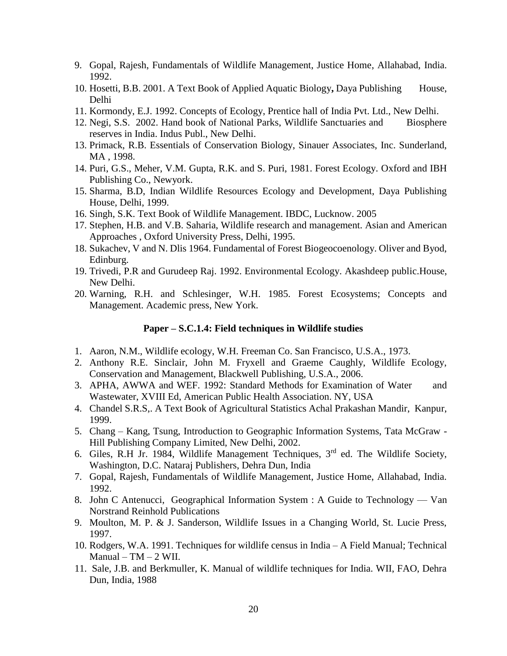- 9. Gopal, Rajesh, Fundamentals of Wildlife Management, Justice Home, Allahabad, India. 1992.
- 10. Hosetti, B.B. 2001. A Text Book of Applied Aquatic Biology, Daya Publishing House, Delhi
- 11. Kormondy, E.J. 1992. Concepts of Ecology, Prentice hall of India Pvt. Ltd., New Delhi.
- 12. Negi, S.S. 2002. Hand book of National Parks, Wildlife Sanctuaries and Biosphere reserves in India. Indus Publ., New Delhi.
- 13. Primack, R.B. Essentials of Conservation Biology, Sinauer Associates, Inc. Sunderland, MA , 1998.
- 14. Puri, G.S., Meher, V.M. Gupta, R.K. and S. Puri, 1981. Forest Ecology. Oxford and IBH Publishing Co., Newyork.
- 15. Sharma, B.D, Indian Wildlife Resources Ecology and Development, Daya Publishing House, Delhi, 1999.
- 16. Singh, S.K. Text Book of Wildlife Management. IBDC, Lucknow. 2005
- 17. Stephen, H.B. and V.B. Saharia, Wildlife research and management. Asian and American Approaches , Oxford University Press, Delhi, 1995.
- 18. Sukachev, V and N. Dlis 1964. Fundamental of Forest Biogeocoenology. Oliver and Byod, Edinburg.
- 19. Trivedi, P.R and Gurudeep Raj. 1992. Environmental Ecology. Akashdeep public.House, New Delhi.
- 20. Warning, R.H. and Schlesinger, W.H. 1985. Forest Ecosystems; Concepts and Management. Academic press, New York.

#### **Paper – S.C.1.4: Field techniques in Wildlife studies**

- 1. Aaron, N.M., Wildlife ecology, W.H. Freeman Co. San Francisco, U.S.A., 1973.
- 2. Anthony R.E. Sinclair, John M. Fryxell and Graeme Caughly, Wildlife Ecology, Conservation and Management, Blackwell Publishing, U.S.A., 2006.
- 3. APHA, AWWA and WEF. 1992: Standard Methods for Examination of Water and Wastewater, XVIII Ed, American Public Health Association. NY, USA
- 4. Chandel S.R.S,. A Text Book of Agricultural Statistics Achal Prakashan Mandir, Kanpur, 1999.
- 5. Chang Kang, Tsung, Introduction to Geographic Information Systems, Tata McGraw Hill Publishing Company Limited, New Delhi, 2002.
- 6. Giles, R.H Jr. 1984, Wildlife Management Techniques, 3rd ed. The Wildlife Society, Washington, D.C. Nataraj Publishers, Dehra Dun, India
- 7. Gopal, Rajesh, Fundamentals of Wildlife Management, Justice Home, Allahabad, India. 1992.
- 8. John C Antenucci, Geographical Information System : A Guide to Technology Van Norstrand Reinhold Publications
- 9. Moulton, M. P. & J. Sanderson, Wildlife Issues in a Changing World, St. Lucie Press, 1997.
- 10. Rodgers, W.A. 1991. Techniques for wildlife census in India A Field Manual; Technical  $Manual - TM - 2 WI.$
- 11. Sale, J.B. and Berkmuller, K. Manual of wildlife techniques for India. WII, FAO, Dehra Dun, India, 1988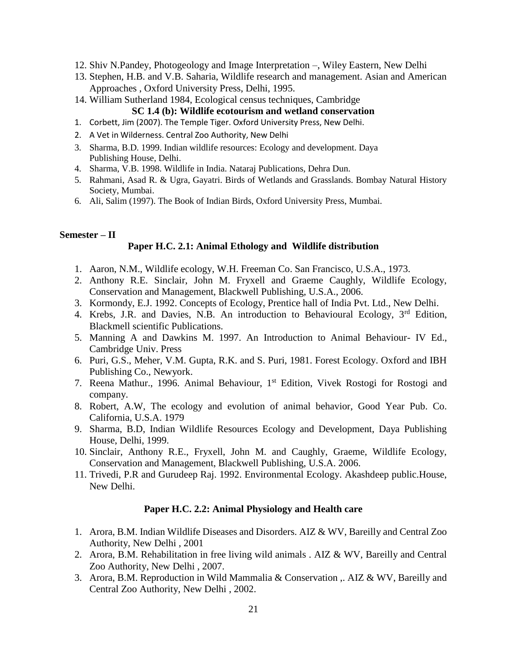- 12. Shiv N.Pandey, Photogeology and Image Interpretation –, Wiley Eastern, New Delhi
- 13. Stephen, H.B. and V.B. Saharia, Wildlife research and management. Asian and American Approaches , Oxford University Press, Delhi, 1995.
- 14. William Sutherland 1984, Ecological census techniques, Cambridge **SC 1.4 (b): Wildlife ecotourism and wetland conservation**
- 1. Corbett, Jim (2007). The Temple Tiger. Oxford University Press, New Delhi.
- 2. A Vet in Wilderness. Central Zoo Authority, New Delhi
- 3. Sharma, B.D. 1999. Indian wildlife resources: Ecology and development. Daya Publishing House, Delhi.
- 4. Sharma, V.B. 1998. Wildlife in India. Nataraj Publications, Dehra Dun.
- 5. Rahmani, Asad R. & Ugra, Gayatri. Birds of Wetlands and Grasslands. Bombay Natural History Society, Mumbai.
- 6. Ali, Salim (1997). The Book of Indian Birds, Oxford University Press, Mumbai.

# **Semester – II**

# **Paper H.C. 2.1: Animal Ethology and Wildlife distribution**

- 1. Aaron, N.M., Wildlife ecology, W.H. Freeman Co. San Francisco, U.S.A., 1973.
- 2. Anthony R.E. Sinclair, John M. Fryxell and Graeme Caughly, Wildlife Ecology, Conservation and Management, Blackwell Publishing, U.S.A., 2006.
- 3. Kormondy, E.J. 1992. Concepts of Ecology, Prentice hall of India Pvt. Ltd., New Delhi.
- 4. Krebs, J.R. and Davies, N.B. An introduction to Behavioural Ecology, 3<sup>rd</sup> Edition, Blackmell scientific Publications.
- 5. Manning A and Dawkins M. 1997. An Introduction to Animal Behaviour- IV Ed., Cambridge Univ. Press
- 6. Puri, G.S., Meher, V.M. Gupta, R.K. and S. Puri, 1981. Forest Ecology. Oxford and IBH Publishing Co., Newyork.
- 7. Reena Mathur., 1996. Animal Behaviour, 1st Edition, Vivek Rostogi for Rostogi and company.
- 8. Robert, A.W, The ecology and evolution of animal behavior, Good Year Pub. Co. California, U.S.A. 1979
- 9. Sharma, B.D, Indian Wildlife Resources Ecology and Development, Daya Publishing House, Delhi, 1999.
- 10. Sinclair, Anthony R.E., Fryxell, John M. and Caughly, Graeme, Wildlife Ecology, Conservation and Management, Blackwell Publishing, U.S.A. 2006.
- 11. Trivedi, P.R and Gurudeep Raj. 1992. Environmental Ecology. Akashdeep public.House, New Delhi.

# **Paper H.C. 2.2: Animal Physiology and Health care**

- 1. Arora, B.M. Indian Wildlife Diseases and Disorders. AIZ & WV, Bareilly and Central Zoo Authority, New Delhi , 2001
- 2. Arora, B.M. Rehabilitation in free living wild animals . AIZ & WV, Bareilly and Central Zoo Authority, New Delhi , 2007.
- 3. Arora, B.M. Reproduction in Wild Mammalia & Conservation ,. AIZ & WV, Bareilly and Central Zoo Authority, New Delhi , 2002.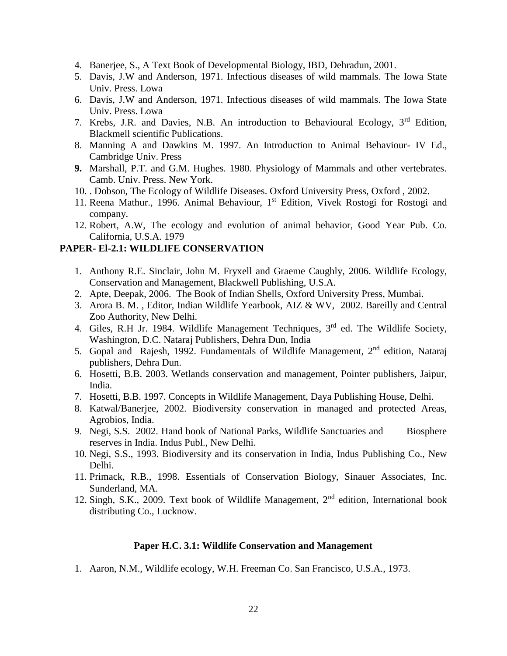- 4. Banerjee, S., A Text Book of Developmental Biology, IBD, Dehradun, 2001.
- 5. Davis, J.W and Anderson, 1971. Infectious diseases of wild mammals. The Iowa State Univ. Press. Lowa
- 6. Davis, J.W and Anderson, 1971. Infectious diseases of wild mammals. The Iowa State Univ. Press. Lowa
- 7. Krebs, J.R. and Davies, N.B. An introduction to Behavioural Ecology, 3<sup>rd</sup> Edition. Blackmell scientific Publications.
- 8. Manning A and Dawkins M. 1997. An Introduction to Animal Behaviour- IV Ed., Cambridge Univ. Press
- **9.** Marshall, P.T. and G.M. Hughes. 1980. Physiology of Mammals and other vertebrates. Camb. Univ. Press. New York.
- 10. . Dobson, The Ecology of Wildlife Diseases. Oxford University Press, Oxford , 2002.
- 11. Reena Mathur., 1996. Animal Behaviour, 1st Edition, Vivek Rostogi for Rostogi and company.
- 12. Robert, A.W, The ecology and evolution of animal behavior, Good Year Pub. Co. California, U.S.A. 1979

# **PAPER- El-2.1: WILDLIFE CONSERVATION**

- 1. Anthony R.E. Sinclair, John M. Fryxell and Graeme Caughly, 2006. Wildlife Ecology, Conservation and Management, Blackwell Publishing, U.S.A.
- 2. Apte, Deepak, 2006. The Book of Indian Shells, Oxford University Press, Mumbai.
- 3. Arora B. M. , Editor, Indian Wildlife Yearbook, AIZ & WV, 2002. Bareilly and Central Zoo Authority, New Delhi.
- 4. Giles, R.H Jr. 1984. Wildlife Management Techniques, 3<sup>rd</sup> ed. The Wildlife Society, Washington, D.C. Nataraj Publishers, Dehra Dun, India
- 5. Gopal and Rajesh, 1992. Fundamentals of Wildlife Management, 2<sup>nd</sup> edition, Nataraj publishers, Dehra Dun.
- 6. Hosetti, B.B. 2003. Wetlands conservation and management, Pointer publishers, Jaipur, India.
- 7. Hosetti, B.B. 1997. Concepts in Wildlife Management, Daya Publishing House, Delhi.
- 8. Katwal/Banerjee, 2002. Biodiversity conservation in managed and protected Areas, Agrobios, India.
- 9. Negi, S.S. 2002. Hand book of National Parks, Wildlife Sanctuaries and Biosphere reserves in India. Indus Publ., New Delhi.
- 10. Negi, S.S., 1993. Biodiversity and its conservation in India, Indus Publishing Co., New Delhi.
- 11. Primack, R.B., 1998. Essentials of Conservation Biology, Sinauer Associates, Inc. Sunderland, MA.
- 12. Singh, S.K., 2009. Text book of Wildlife Management,  $2<sup>nd</sup>$  edition, International book distributing Co., Lucknow.

#### **Paper H.C. 3.1: Wildlife Conservation and Management**

1. Aaron, N.M., Wildlife ecology, W.H. Freeman Co. San Francisco, U.S.A., 1973.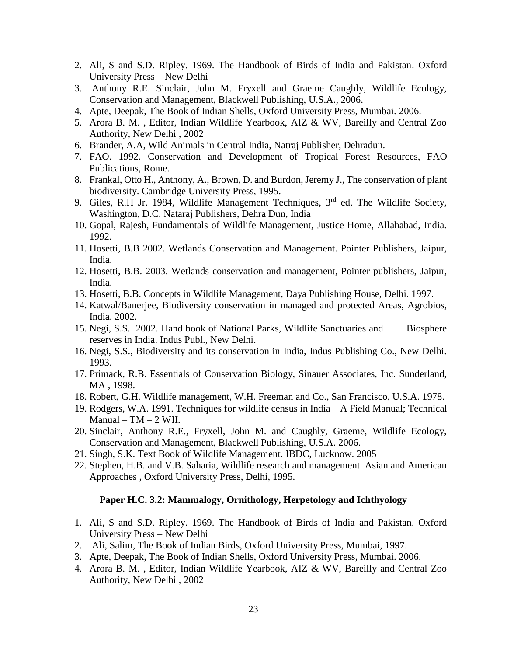- 2. Ali, S and S.D. Ripley. 1969. The Handbook of Birds of India and Pakistan. Oxford University Press – New Delhi
- 3. Anthony R.E. Sinclair, John M. Fryxell and Graeme Caughly, Wildlife Ecology, Conservation and Management, Blackwell Publishing, U.S.A., 2006.
- 4. Apte, Deepak, The Book of Indian Shells, Oxford University Press, Mumbai. 2006.
- 5. Arora B. M. , Editor, Indian Wildlife Yearbook, AIZ & WV, Bareilly and Central Zoo Authority, New Delhi , 2002
- 6. Brander, A.A, Wild Animals in Central India, Natraj Publisher, Dehradun.
- 7. FAO. 1992. Conservation and Development of Tropical Forest Resources, FAO Publications, Rome.
- 8. Frankal, Otto H., Anthony, A., Brown, D. and Burdon, Jeremy J., The conservation of plant biodiversity. Cambridge University Press, 1995.
- 9. Giles, R.H Jr. 1984, Wildlife Management Techniques,  $3<sup>rd</sup>$  ed. The Wildlife Society, Washington, D.C. Nataraj Publishers, Dehra Dun, India
- 10. Gopal, Rajesh, Fundamentals of Wildlife Management, Justice Home, Allahabad, India. 1992.
- 11. Hosetti, B.B 2002. Wetlands Conservation and Management. Pointer Publishers, Jaipur, India.
- 12. Hosetti, B.B. 2003. Wetlands conservation and management, Pointer publishers, Jaipur, India.
- 13. Hosetti, B.B. Concepts in Wildlife Management, Daya Publishing House, Delhi. 1997.
- 14. Katwal/Banerjee, Biodiversity conservation in managed and protected Areas, Agrobios, India, 2002.
- 15. Negi, S.S. 2002. Hand book of National Parks, Wildlife Sanctuaries and Biosphere reserves in India. Indus Publ., New Delhi.
- 16. Negi, S.S., Biodiversity and its conservation in India, Indus Publishing Co., New Delhi. 1993.
- 17. Primack, R.B. Essentials of Conservation Biology, Sinauer Associates, Inc. Sunderland, MA , 1998.
- 18. Robert, G.H. Wildlife management, W.H. Freeman and Co., San Francisco, U.S.A. 1978.
- 19. Rodgers, W.A. 1991. Techniques for wildlife census in India A Field Manual; Technical Manual –  $TM - 2$  WII.
- 20. Sinclair, Anthony R.E., Fryxell, John M. and Caughly, Graeme, Wildlife Ecology, Conservation and Management, Blackwell Publishing, U.S.A. 2006.
- 21. Singh, S.K. Text Book of Wildlife Management. IBDC, Lucknow. 2005
- 22. Stephen, H.B. and V.B. Saharia, Wildlife research and management. Asian and American Approaches , Oxford University Press, Delhi, 1995.

#### **Paper H.C. 3.2: Mammalogy, Ornithology, Herpetology and Ichthyology**

- 1. Ali, S and S.D. Ripley. 1969. The Handbook of Birds of India and Pakistan. Oxford University Press – New Delhi
- 2. Ali, Salim, The Book of Indian Birds, Oxford University Press, Mumbai, 1997.
- 3. Apte, Deepak, The Book of Indian Shells, Oxford University Press, Mumbai. 2006.
- 4. Arora B. M. , Editor, Indian Wildlife Yearbook, AIZ & WV, Bareilly and Central Zoo Authority, New Delhi , 2002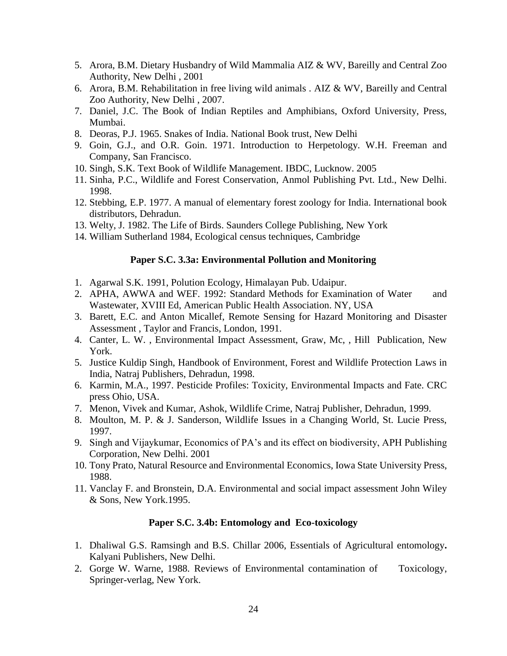- 5. Arora, B.M. Dietary Husbandry of Wild Mammalia AIZ & WV, Bareilly and Central Zoo Authority, New Delhi , 2001
- 6. Arora, B.M. Rehabilitation in free living wild animals . AIZ & WV, Bareilly and Central Zoo Authority, New Delhi , 2007.
- 7. Daniel, J.C. The Book of Indian Reptiles and Amphibians, Oxford University, Press, Mumbai.
- 8. Deoras, P.J. 1965. Snakes of India. National Book trust, New Delhi
- 9. Goin, G.J., and O.R. Goin. 1971. Introduction to Herpetology. W.H. Freeman and Company, San Francisco.
- 10. Singh, S.K. Text Book of Wildlife Management. IBDC, Lucknow. 2005
- 11. Sinha, P.C., Wildlife and Forest Conservation, Anmol Publishing Pvt. Ltd., New Delhi. 1998.
- 12. Stebbing, E.P. 1977. A manual of elementary forest zoology for India. International book distributors, Dehradun.
- 13. Welty, J. 1982. The Life of Birds. Saunders College Publishing, New York
- 14. William Sutherland 1984, Ecological census techniques, Cambridge

# **Paper S.C. 3.3a: Environmental Pollution and Monitoring**

- 1. Agarwal S.K. 1991, Polution Ecology, Himalayan Pub. Udaipur.
- 2. APHA, AWWA and WEF. 1992: Standard Methods for Examination of Water and Wastewater, XVIII Ed, American Public Health Association. NY, USA
- 3. Barett, E.C. and Anton Micallef, Remote Sensing for Hazard Monitoring and Disaster Assessment , Taylor and Francis, London, 1991.
- 4. Canter, L. W. , Environmental Impact Assessment, Graw, Mc, , Hill Publication, New York.
- 5. Justice Kuldip Singh, Handbook of Environment, Forest and Wildlife Protection Laws in India, Natraj Publishers, Dehradun, 1998.
- 6. Karmin, M.A., 1997. Pesticide Profiles: Toxicity, Environmental Impacts and Fate. CRC press Ohio, USA.
- 7. Menon, Vivek and Kumar, Ashok, Wildlife Crime, Natraj Publisher, Dehradun, 1999.
- 8. Moulton, M. P. & J. Sanderson, Wildlife Issues in a Changing World, St. Lucie Press, 1997.
- 9. Singh and Vijaykumar, Economics of PA's and its effect on biodiversity, APH Publishing Corporation, New Delhi. 2001
- 10. Tony Prato, Natural Resource and Environmental Economics, Iowa State University Press, 1988.
- 11. Vanclay F. and Bronstein, D.A. Environmental and social impact assessment John Wiley & Sons, New York.1995.

# **Paper S.C. 3.4b: Entomology and Eco-toxicology**

- 1. Dhaliwal G.S. Ramsingh and B.S. Chillar 2006, Essentials of Agricultural entomology**.** Kalyani Publishers, New Delhi.
- 2. Gorge W. Warne, 1988. Reviews of Environmental contamination of Toxicology, Springer-verlag, New York.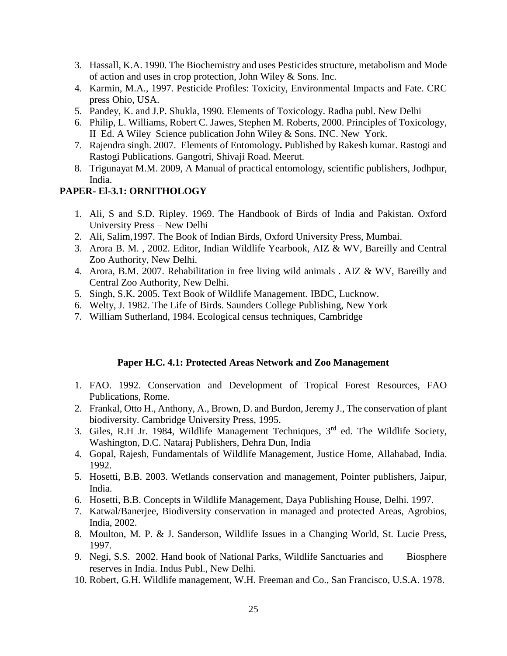- 3. Hassall, K.A. 1990. The Biochemistry and uses Pesticides structure, metabolism and Mode of action and uses in crop protection, John Wiley & Sons. Inc.
- 4. Karmin, M.A., 1997. Pesticide Profiles: Toxicity, Environmental Impacts and Fate. CRC press Ohio, USA.
- 5. Pandey, K. and J.P. Shukla, 1990. Elements of Toxicology. Radha publ. New Delhi
- 6. Philip, L. Williams, Robert C. Jawes, Stephen M. Roberts, 2000. Principles of Toxicology, II Ed. A Wiley Science publication John Wiley & Sons. INC. New York.
- 7. Rajendra singh. 2007. Elements of Entomology**.** Published by Rakesh kumar. Rastogi and Rastogi Publications. Gangotri, Shivaji Road. Meerut.
- 8. Trigunayat M.M. 2009, A Manual of practical entomology, scientific publishers, Jodhpur, India.

#### **PAPER- El-3.1: ORNITHOLOGY**

- 1. Ali, S and S.D. Ripley. 1969. The Handbook of Birds of India and Pakistan. Oxford University Press – New Delhi
- 2. Ali, Salim,1997. The Book of Indian Birds, Oxford University Press, Mumbai.
- 3. Arora B. M. , 2002. Editor, Indian Wildlife Yearbook, AIZ & WV, Bareilly and Central Zoo Authority, New Delhi.
- 4. Arora, B.M. 2007. Rehabilitation in free living wild animals . AIZ & WV, Bareilly and Central Zoo Authority, New Delhi.
- 5. Singh, S.K. 2005. Text Book of Wildlife Management. IBDC, Lucknow.
- 6. Welty, J. 1982. The Life of Birds. Saunders College Publishing, New York
- 7. William Sutherland, 1984. Ecological census techniques, Cambridge

#### **Paper H.C. 4.1: Protected Areas Network and Zoo Management**

- 1. FAO. 1992. Conservation and Development of Tropical Forest Resources, FAO Publications, Rome.
- 2. Frankal, Otto H., Anthony, A., Brown, D. and Burdon, Jeremy J., The conservation of plant biodiversity. Cambridge University Press, 1995.
- 3. Giles, R.H Jr. 1984, Wildlife Management Techniques, 3rd ed. The Wildlife Society, Washington, D.C. Nataraj Publishers, Dehra Dun, India
- 4. Gopal, Rajesh, Fundamentals of Wildlife Management, Justice Home, Allahabad, India. 1992.
- 5. Hosetti, B.B. 2003. Wetlands conservation and management, Pointer publishers, Jaipur, India.
- 6. Hosetti, B.B. Concepts in Wildlife Management, Daya Publishing House, Delhi. 1997.
- 7. Katwal/Banerjee, Biodiversity conservation in managed and protected Areas, Agrobios, India, 2002.
- 8. Moulton, M. P. & J. Sanderson, Wildlife Issues in a Changing World, St. Lucie Press, 1997.
- 9. Negi, S.S. 2002. Hand book of National Parks, Wildlife Sanctuaries and Biosphere reserves in India. Indus Publ., New Delhi.
- 10. Robert, G.H. Wildlife management, W.H. Freeman and Co., San Francisco, U.S.A. 1978.